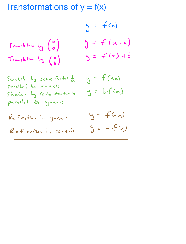Transformations of  $y = f(x)$ 

$$
J = f(x)
$$
  
Transform by (a)  
Transform by (b)  

$$
y = f(x-a)
$$
  

$$
y = f(x-b)
$$
  

$$
y = f(x) + b
$$

Stretch by scale factor  $\frac{1}{a}$  y =  $f(ax)$  $parallel$   $\epsilon_{0}$   $\propto$   $\alpha x i$ s  $S$ tretch by scale factor  $b$ parallel to y-axis

$$
y = bf(x)
$$

Reflectian in y-axis 
$$
y = +(3x)
$$
  
Reflection in x-axis  $y = -f(x)$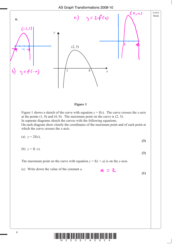

 On each diagram show clearly the coordinates of the maximum point and of each point at which the curve crosses the *x*-axis.

(a) 
$$
y = 2f(x)
$$
, (3)

$$
(b) y = f(-x).
$$

**(3)**

**(1)**

The maximum point on the curve with equation  $y = f(x + a)$  is on the *y*-axis.

 (c) Write down the value of the constant *a*.  $a = 2$ 

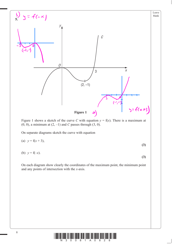

Figure 1 shows a sketch of the curve *C* with equation  $y = f(x)$ . There is a maximum at  $(0, 0)$ , a minimum at  $(2, -1)$  and *C* passes through  $(3, 0)$ .

On separate diagrams sketch the curve with equation

(a) 
$$
y = f(x+3)
$$
, (3)

(b) 
$$
y = f(-x)
$$
.

 On each diagram show clearly the coordinates of the maximum point, the minimum point and any points of intersection with the *x*-axis.

**(3)**

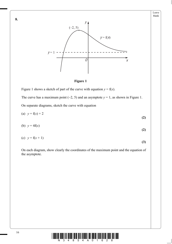





Figure 1 shows a sketch of part of the curve with equation  $y = f(x)$ .

The curve has a maximum point  $(-2, 5)$  and an asymptote  $y = 1$ , as shown in Figure 1.

On separate diagrams, sketch the curve with equation

(a)  $y = f(x) + 2$  **(2)**

$$
(b) \quad y = 4f(x) \tag{2}
$$

(c) 
$$
y = f(x+1)
$$
 (3)

 On each diagram, show clearly the coordinates of the maximum point and the equation of the asymptote.



**8.**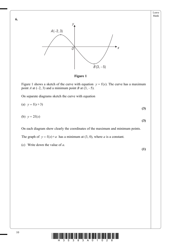





Figure 1 shows a sketch of the curve with equation  $y = f(x)$ . The curve has a maximum point *A* at  $(-2, 3)$  and a minimum point *B* at  $(3, -5)$ .

On separate diagrams sketch the curve with equation

(a) 
$$
y = f(x+3)
$$
  
\n(b)  $y = 2f(x)$  (3)

On each diagram show clearly the coordinates of the maximum and minimum points.

The graph of  $y = f(x) + a$  has a minimum at (3, 0), where *a* is a constant.

(c) Write down the value of *a*.

**(1)**

**(3)**

Leave blank